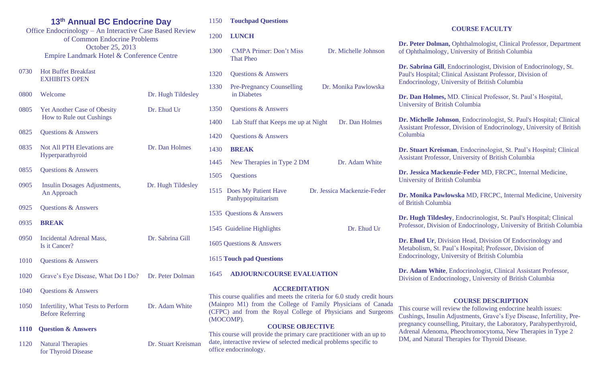|                              | 13th Annual BC Endocrine Day                            |  |  |  |
|------------------------------|---------------------------------------------------------|--|--|--|
|                              | Office Endocrinology – An Interactive Case Based Review |  |  |  |
| of Common Endocrine Problems |                                                         |  |  |  |
|                              | October 25, 2013                                        |  |  |  |
|                              | Empire Landmark Hotel & Conference Centre               |  |  |  |
|                              |                                                         |  |  |  |

- 0730 Hot Buffet Breakfast EXHIBITS OPEN
- 0800 Welcome Dr. Hugh Tildesley 0805 Yet Another Case of Obesity Dr. Ehud Ur How to Rule out Cushings 0825 Questions & Answers 0835 Not All PTH Elevations are Dr. Dan Holmes Hyperparathyroid
- 0855 Ouestions & Answers
- 0905 Insulin Dosages Adjustments, Dr. Hugh Tildesley An Approach
- 0925 Ouestions & Answers
- 0935 **BREAK**
- 0950 Incidental Adrenal Mass, Dr. Sabrina Gill Is it Cancer?
- 1010 Questions & Answers
- 1020 Grave's Eye Disease, What Do I Do? Dr. Peter Dolman
- 1040 Ouestions & Answers
- 1050 Infertility, What Tests to Perform Dr. Adam White Before Referring
- **1110 Question & Answers**
- 1120 Natural Therapies Dr. Stuart Kreisman for Thyroid Disease

## 1150 **Touchpad Questions**

## 1200 **LUNCH**

- 1300 CMPA Primer: Don't Miss Dr. Michelle Johnson That Pheo 1320 Questions & Answers 1330 Pre-Pregnancy Counselling Dr. Monika Pawlowska in Diabetes 1350 Questions & Answers
- 1400 Lab Stuff that Keeps me up at Night Dr. Dan Holmes
- 1420 Questions & Answers
- 1430 **BREAK**
- 1445 New Therapies in Type 2 DM Dr. Adam White
- 1505 Questions
- 1515 Does My Patient Have Dr. Jessica Mackenzie-Feder Panhypopituitarism
- 1535 Questions & Answers
- 1545 Guideline Highlights Dr. Ehud Ur
- 1605 Questions & Answers
- 1615 **Touch pad Questions**

### 1645 **ADJOURN/COURSE EVALUATION**

## **ACCREDITATION**

This course qualifies and meets the criteria for 6.0 study credit hours (Mainpro M1) from the College of Family Physicians of Canada (CFPC) and from the Royal College of Physicians and Surgeons (MOCOMP).

# **COURSE OBJECTIVE**

This course will provide the primary care practitioner with an up to date, interactive review of selected medical problems specific to office endocrinology.

## **COURSE FACULTY**

**Dr. Peter Dolman,** Ophthalmologist, Clinical Professor, Department of Ophthalmology, University of British Columbia

**Dr. Sabrina Gill**, Endocrinologist, Division of Endocrinology, St. Paul's Hospital; Clinical Assistant Professor, Division of Endocrinology, University of British Columbia

**Dr. Dan Holmes,** MD. Clinical Professor, St. Paul's Hospital, University of British Columbia

**Dr. Michelle Johnson**, Endocrinologist, St. Paul's Hospital; Clinical Assistant Professor, Division of Endocrinology, University of British Columbia

**Dr. Stuart Kreisman**, Endocrinologist, St. Paul's Hospital; Clinical Assistant Professor, University of British Columbia

**Dr. Jessica Mackenzie-Feder** MD, FRCPC, Internal Medicine, University of British Columbia

**Dr. Monika Pawlowska** MD, FRCPC, Internal Medicine, University of British Columbia

**Dr. Hugh Tildesley**, Endocrinologist, St. Paul's Hospital; Clinical Professor, Division of Endocrinology, University of British Columbia

**Dr. Ehud Ur**, Division Head, Division Of Endocrinology and Metabolism, St. Paul's Hospital; Professor, Division of Endocrinology, University of British Columbia

**Dr. Adam White**, Endocrinologist, Clinical Assistant Professor, Division of Endocrinology, University of British Columbia

### **COURSE DESCRIPTION**

This course will review the following endocrine health issues: Cushings, Insulin Adjustments, Grave's Eye Disease, Infertility, Prepregnancy counselling, Pituitary, the Laboratory, Parahyperthyroid, Adrenal Adenoma, Pheochromocytoma, New Therapies in Type 2 DM, and Natural Therapies for Thyroid Disease.